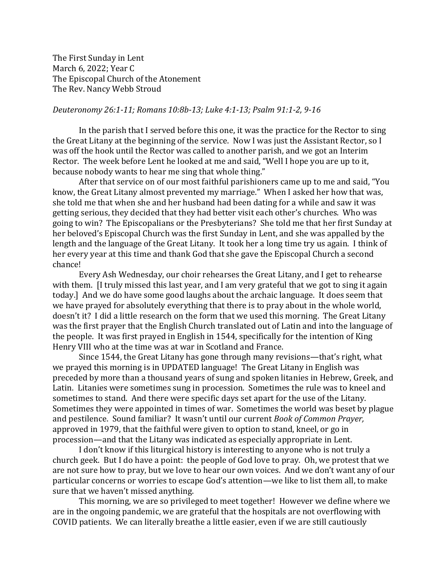The First Sunday in Lent March 6, 2022; Year C The Episcopal Church of the Atonement The Rev. Nancy Webb Stroud

## *Deuteronomy 26:1-11; Romans 10:8b-13; Luke 4:1-13; Psalm 91:1-2, 9-16*

In the parish that I served before this one, it was the practice for the Rector to sing the Great Litany at the beginning of the service. Now I was just the Assistant Rector, so I was off the hook until the Rector was called to another parish, and we got an Interim Rector. The week before Lent he looked at me and said, "Well I hope you are up to it, because nobody wants to hear me sing that whole thing."

After that service on of our most faithful parishioners came up to me and said, "You know, the Great Litany almost prevented my marriage." When I asked her how that was, she told me that when she and her husband had been dating for a while and saw it was getting serious, they decided that they had better visit each other's churches. Who was going to win? The Episcopalians or the Presbyterians? She told me that her first Sunday at her beloved's Episcopal Church was the first Sunday in Lent, and she was appalled by the length and the language of the Great Litany. It took her a long time try us again. I think of her every year at this time and thank God that she gave the Episcopal Church a second chance!

Every Ash Wednesday, our choir rehearses the Great Litany, and I get to rehearse with them. [I truly missed this last year, and I am very grateful that we got to sing it again today.] And we do have some good laughs about the archaic language. It does seem that we have prayed for absolutely everything that there is to pray about in the whole world, doesn't it? I did a little research on the form that we used this morning. The Great Litany was the first prayer that the English Church translated out of Latin and into the language of the people. It was first prayed in English in 1544, specifically for the intention of King Henry VIII who at the time was at war in Scotland and France.

Since 1544, the Great Litany has gone through many revisions—that's right, what we prayed this morning is in UPDATED language! The Great Litany in English was preceded by more than a thousand years of sung and spoken litanies in Hebrew, Greek, and Latin. Litanies were sometimes sung in procession. Sometimes the rule was to kneel and sometimes to stand. And there were specific days set apart for the use of the Litany. Sometimes they were appointed in times of war. Sometimes the world was beset by plague and pestilence. Sound familiar? It wasn't until our current *Book of Common Prayer,* approved in 1979, that the faithful were given to option to stand, kneel, or go in procession—and that the Litany was indicated as especially appropriate in Lent.

I don't know if this liturgical history is interesting to anyone who is not truly a church geek. But I do have a point: the people of God love to pray. Oh, we protest that we are not sure how to pray, but we love to hear our own voices. And we don't want any of our particular concerns or worries to escape God's attention—we like to list them all, to make sure that we haven't missed anything.

This morning, we are so privileged to meet together! However we define where we are in the ongoing pandemic, we are grateful that the hospitals are not overflowing with COVID patients. We can literally breathe a little easier, even if we are still cautiously